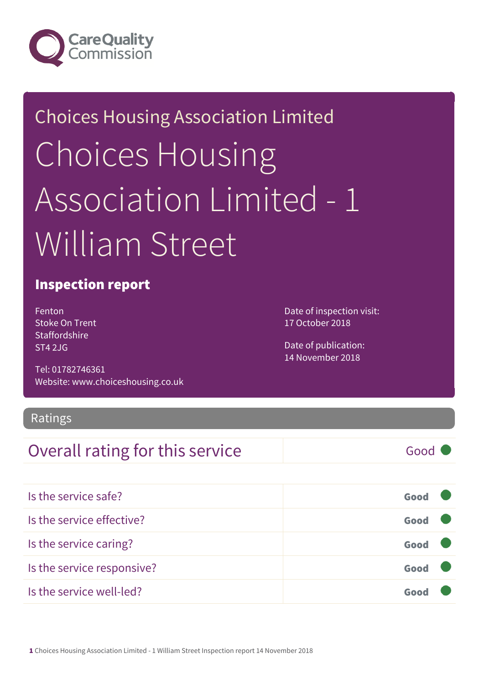

## Choices Housing Association Limited Choices Housing Association Limited - 1 William Street

#### Inspection report

Fenton Stoke On Trent **Staffordshire** ST4 2JG

Tel: 01782746361 Website: www.choiceshousing.co.uk Date of inspection visit: 17 October 2018

Date of publication: 14 November 2018

#### Ratings

#### Overall rating for this service Good

| Is the service safe?       | Good |  |
|----------------------------|------|--|
| Is the service effective?  | Good |  |
| Is the service caring?     | Good |  |
| Is the service responsive? | Good |  |
| Is the service well-led?   |      |  |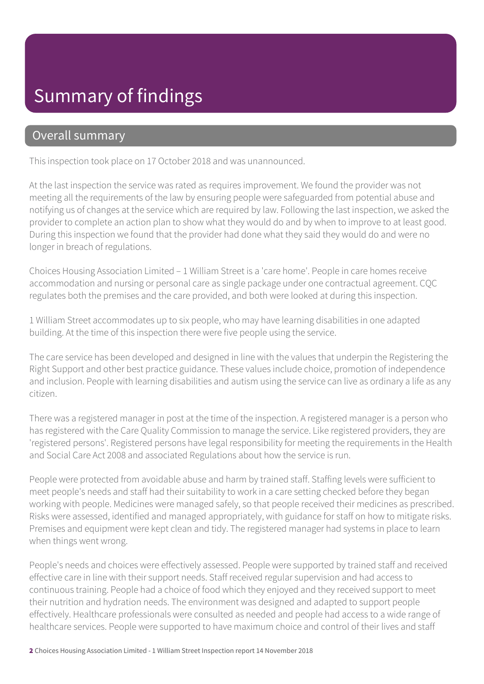### Summary of findings

#### Overall summary

This inspection took place on 17 October 2018 and was unannounced.

At the last inspection the service was rated as requires improvement. We found the provider was not meeting all the requirements of the law by ensuring people were safeguarded from potential abuse and notifying us of changes at the service which are required by law. Following the last inspection, we asked the provider to complete an action plan to show what they would do and by when to improve to at least good. During this inspection we found that the provider had done what they said they would do and were no longer in breach of regulations.

Choices Housing Association Limited – 1 William Street is a 'care home'. People in care homes receive accommodation and nursing or personal care as single package under one contractual agreement. CQC regulates both the premises and the care provided, and both were looked at during this inspection.

1 William Street accommodates up to six people, who may have learning disabilities in one adapted building. At the time of this inspection there were five people using the service.

The care service has been developed and designed in line with the values that underpin the Registering the Right Support and other best practice guidance. These values include choice, promotion of independence and inclusion. People with learning disabilities and autism using the service can live as ordinary a life as any citizen.

There was a registered manager in post at the time of the inspection. A registered manager is a person who has registered with the Care Quality Commission to manage the service. Like registered providers, they are 'registered persons'. Registered persons have legal responsibility for meeting the requirements in the Health and Social Care Act 2008 and associated Regulations about how the service is run.

People were protected from avoidable abuse and harm by trained staff. Staffing levels were sufficient to meet people's needs and staff had their suitability to work in a care setting checked before they began working with people. Medicines were managed safely, so that people received their medicines as prescribed. Risks were assessed, identified and managed appropriately, with guidance for staff on how to mitigate risks. Premises and equipment were kept clean and tidy. The registered manager had systems in place to learn when things went wrong.

People's needs and choices were effectively assessed. People were supported by trained staff and received effective care in line with their support needs. Staff received regular supervision and had access to continuous training. People had a choice of food which they enjoyed and they received support to meet their nutrition and hydration needs. The environment was designed and adapted to support people effectively. Healthcare professionals were consulted as needed and people had access to a wide range of healthcare services. People were supported to have maximum choice and control of their lives and staff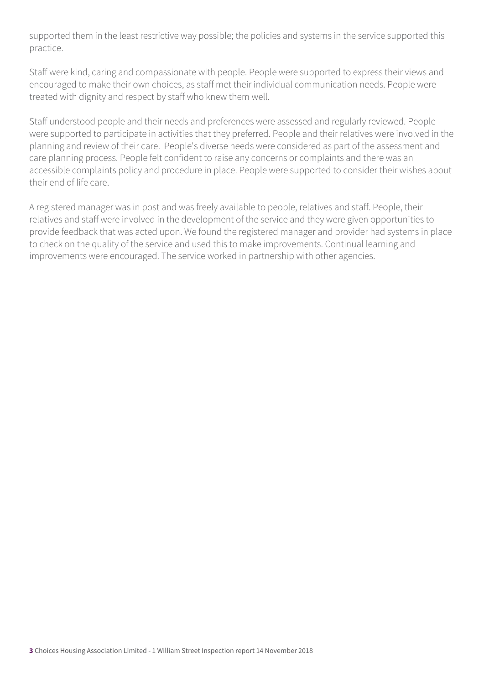supported them in the least restrictive way possible; the policies and systems in the service supported this practice.

Staff were kind, caring and compassionate with people. People were supported to express their views and encouraged to make their own choices, as staff met their individual communication needs. People were treated with dignity and respect by staff who knew them well.

Staff understood people and their needs and preferences were assessed and regularly reviewed. People were supported to participate in activities that they preferred. People and their relatives were involved in the planning and review of their care. People's diverse needs were considered as part of the assessment and care planning process. People felt confident to raise any concerns or complaints and there was an accessible complaints policy and procedure in place. People were supported to consider their wishes about their end of life care.

A registered manager was in post and was freely available to people, relatives and staff. People, their relatives and staff were involved in the development of the service and they were given opportunities to provide feedback that was acted upon. We found the registered manager and provider had systems in place to check on the quality of the service and used this to make improvements. Continual learning and improvements were encouraged. The service worked in partnership with other agencies.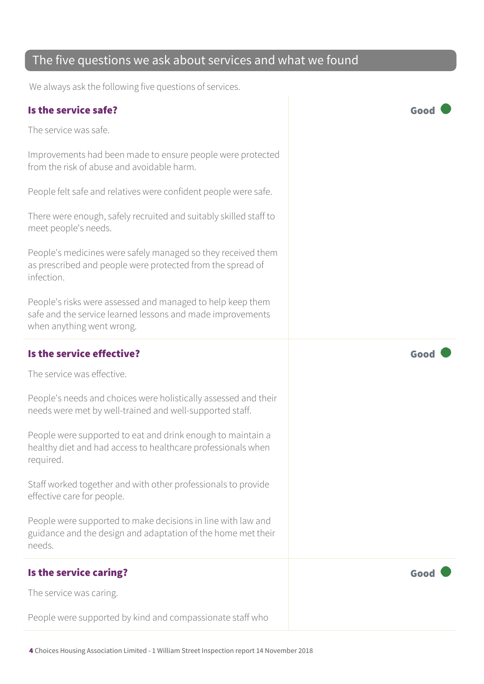People were supported to eat and drink enough to maintain a healthy diet and had access to healthcare professionals when required.

Staff worked together and with other professionals to provide effective care for people.

People were supported to make decisions in line with law and guidance and the design and adaptation of the home met their needs.

#### Is the service caring? The service caring?

The service was caring.

People were supported by kind and compassionate staff who

The five questions we ask about services and what we found

We always ask the following five questions of services.

#### Is the service safe? Good

The service was safe.

Improvements had been made to ensure people were protected from the risk of abuse and avoidable harm.

People felt safe and relatives were confident people were safe.

There were enough, safely recruited and suitably skilled staff to meet people's needs.

People's medicines were safely managed so they received them as prescribed and people were protected from the spread of infection.

People's risks were assessed and managed to help keep them safe and the service learned lessons and made improvements when anything went wrong.

#### Is the service effective?  $\Box$  Good  $\Box$

The service was effective.

People's needs and choices were holistically assessed and their needs were met by well-trained and well-supported staff.

4 Choices Housing Association Limited - 1 William Street Inspection report 14 November 2018





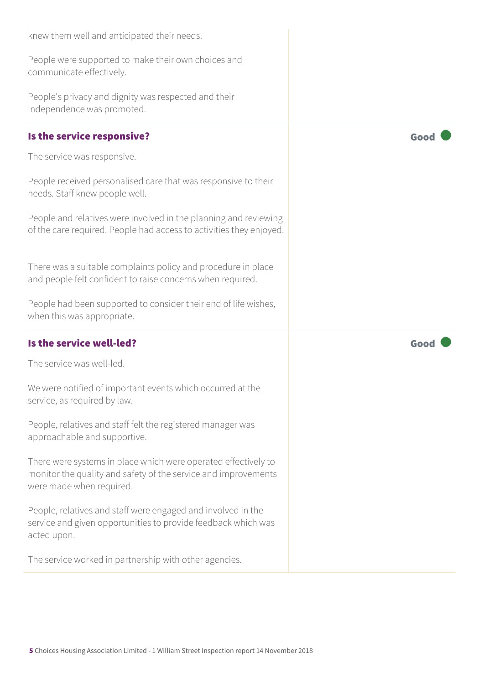| knew them well and anticipated their needs.                                                                                                                  |      |
|--------------------------------------------------------------------------------------------------------------------------------------------------------------|------|
| People were supported to make their own choices and<br>communicate effectively.                                                                              |      |
| People's privacy and dignity was respected and their<br>independence was promoted.                                                                           |      |
| Is the service responsive?                                                                                                                                   | Good |
| The service was responsive.                                                                                                                                  |      |
| People received personalised care that was responsive to their<br>needs. Staff knew people well.                                                             |      |
| People and relatives were involved in the planning and reviewing<br>of the care required. People had access to activities they enjoyed.                      |      |
| There was a suitable complaints policy and procedure in place<br>and people felt confident to raise concerns when required.                                  |      |
|                                                                                                                                                              |      |
| People had been supported to consider their end of life wishes,<br>when this was appropriate.                                                                |      |
| Is the service well-led?                                                                                                                                     | Good |
| The service was well-led.                                                                                                                                    |      |
| We were notified of important events which occurred at the<br>service, as required by law.                                                                   |      |
| People, relatives and staff felt the registered manager was<br>approachable and supportive.                                                                  |      |
| There were systems in place which were operated effectively to<br>monitor the quality and safety of the service and improvements<br>were made when required. |      |
| People, relatives and staff were engaged and involved in the<br>service and given opportunities to provide feedback which was<br>acted upon.                 |      |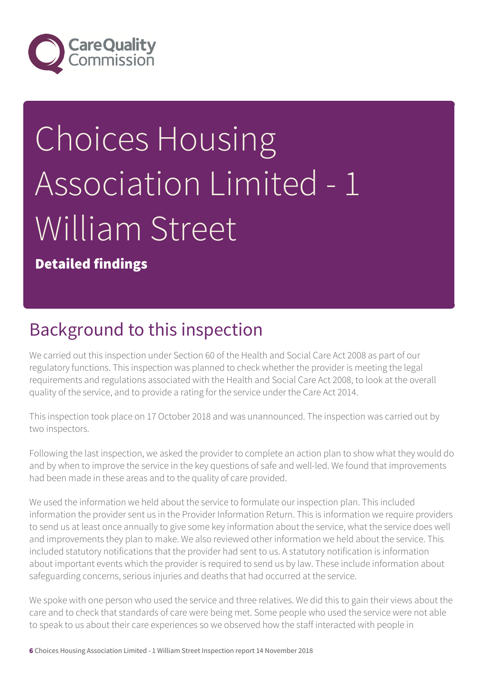

# Choices Housing Association Limited - 1 William Street

Detailed findings

### Background to this inspection

We carried out this inspection under Section 60 of the Health and Social Care Act 2008 as part of our regulatory functions. This inspection was planned to check whether the provider is meeting the legal requirements and regulations associated with the Health and Social Care Act 2008, to look at the overall quality of the service, and to provide a rating for the service under the Care Act 2014.

This inspection took place on 17 October 2018 and was unannounced. The inspection was carried out by two inspectors.

Following the last inspection, we asked the provider to complete an action plan to show what they would do and by when to improve the service in the key questions of safe and well-led. We found that improvements had been made in these areas and to the quality of care provided.

We used the information we held about the service to formulate our inspection plan. This included information the provider sent us in the Provider Information Return. This is information we require providers to send us at least once annually to give some key information about the service, what the service does well and improvements they plan to make. We also reviewed other information we held about the service. This included statutory notifications that the provider had sent to us. A statutory notification is information about important events which the provider is required to send us by law. These include information about safeguarding concerns, serious injuries and deaths that had occurred at the service.

We spoke with one person who used the service and three relatives. We did this to gain their views about the care and to check that standards of care were being met. Some people who used the service were not able to speak to us about their care experiences so we observed how the staff interacted with people in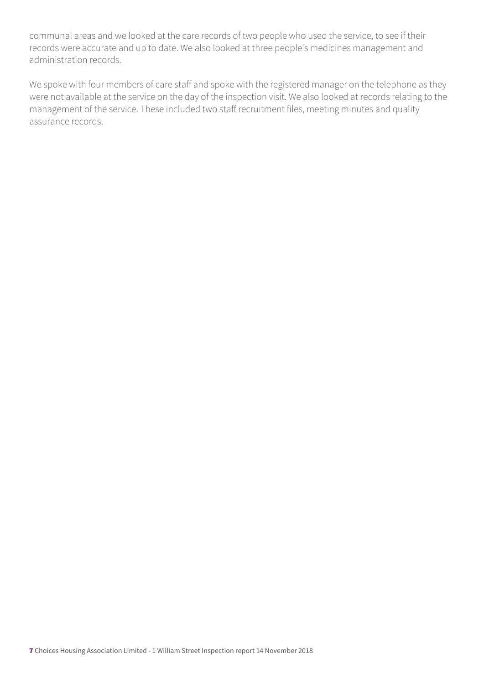communal areas and we looked at the care records of two people who used the service, to see if their records were accurate and up to date. We also looked at three people's medicines management and administration records.

We spoke with four members of care staff and spoke with the registered manager on the telephone as they were not available at the service on the day of the inspection visit. We also looked at records relating to the management of the service. These included two staff recruitment files, meeting minutes and quality assurance records.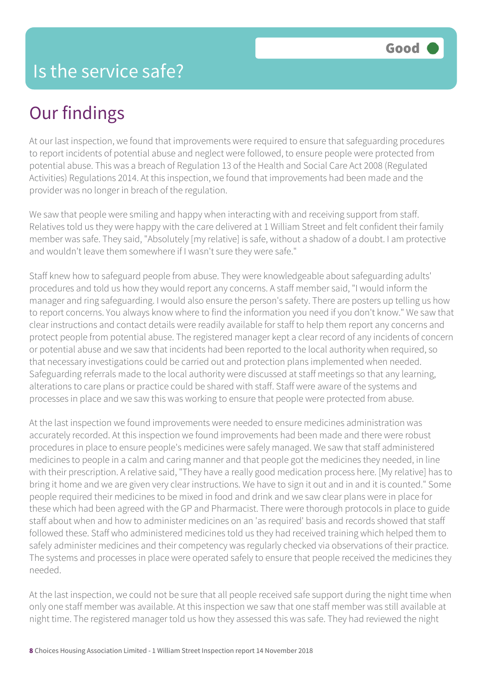### Our findings

At our last inspection, we found that improvements were required to ensure that safeguarding procedures to report incidents of potential abuse and neglect were followed, to ensure people were protected from potential abuse. This was a breach of Regulation 13 of the Health and Social Care Act 2008 (Regulated Activities) Regulations 2014. At this inspection, we found that improvements had been made and the provider was no longer in breach of the regulation.

We saw that people were smiling and happy when interacting with and receiving support from staff. Relatives told us they were happy with the care delivered at 1 William Street and felt confident their family member was safe. They said, "Absolutely [my relative] is safe, without a shadow of a doubt. I am protective and wouldn't leave them somewhere if I wasn't sure they were safe."

Staff knew how to safeguard people from abuse. They were knowledgeable about safeguarding adults' procedures and told us how they would report any concerns. A staff member said, "I would inform the manager and ring safeguarding. I would also ensure the person's safety. There are posters up telling us how to report concerns. You always know where to find the information you need if you don't know." We saw that clear instructions and contact details were readily available for staff to help them report any concerns and protect people from potential abuse. The registered manager kept a clear record of any incidents of concern or potential abuse and we saw that incidents had been reported to the local authority when required, so that necessary investigations could be carried out and protection plans implemented when needed. Safeguarding referrals made to the local authority were discussed at staff meetings so that any learning, alterations to care plans or practice could be shared with staff. Staff were aware of the systems and processes in place and we saw this was working to ensure that people were protected from abuse.

At the last inspection we found improvements were needed to ensure medicines administration was accurately recorded. At this inspection we found improvements had been made and there were robust procedures in place to ensure people's medicines were safely managed. We saw that staff administered medicines to people in a calm and caring manner and that people got the medicines they needed, in line with their prescription. A relative said, "They have a really good medication process here. [My relative] has to bring it home and we are given very clear instructions. We have to sign it out and in and it is counted." Some people required their medicines to be mixed in food and drink and we saw clear plans were in place for these which had been agreed with the GP and Pharmacist. There were thorough protocols in place to guide staff about when and how to administer medicines on an 'as required' basis and records showed that staff followed these. Staff who administered medicines told us they had received training which helped them to safely administer medicines and their competency was regularly checked via observations of their practice. The systems and processes in place were operated safely to ensure that people received the medicines they needed.

At the last inspection, we could not be sure that all people received safe support during the night time when only one staff member was available. At this inspection we saw that one staff member was still available at night time. The registered manager told us how they assessed this was safe. They had reviewed the night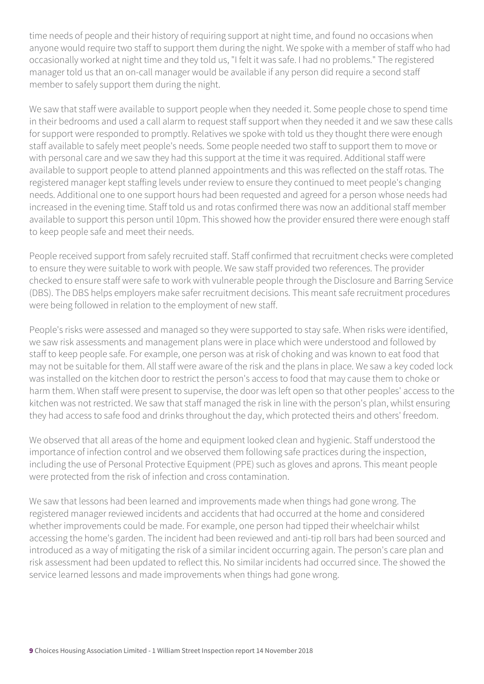time needs of people and their history of requiring support at night time, and found no occasions when anyone would require two staff to support them during the night. We spoke with a member of staff who had occasionally worked at night time and they told us, "I felt it was safe. I had no problems." The registered manager told us that an on-call manager would be available if any person did require a second staff member to safely support them during the night.

We saw that staff were available to support people when they needed it. Some people chose to spend time in their bedrooms and used a call alarm to request staff support when they needed it and we saw these calls for support were responded to promptly. Relatives we spoke with told us they thought there were enough staff available to safely meet people's needs. Some people needed two staff to support them to move or with personal care and we saw they had this support at the time it was required. Additional staff were available to support people to attend planned appointments and this was reflected on the staff rotas. The registered manager kept staffing levels under review to ensure they continued to meet people's changing needs. Additional one to one support hours had been requested and agreed for a person whose needs had increased in the evening time. Staff told us and rotas confirmed there was now an additional staff member available to support this person until 10pm. This showed how the provider ensured there were enough staff to keep people safe and meet their needs.

People received support from safely recruited staff. Staff confirmed that recruitment checks were completed to ensure they were suitable to work with people. We saw staff provided two references. The provider checked to ensure staff were safe to work with vulnerable people through the Disclosure and Barring Service (DBS). The DBS helps employers make safer recruitment decisions. This meant safe recruitment procedures were being followed in relation to the employment of new staff.

People's risks were assessed and managed so they were supported to stay safe. When risks were identified, we saw risk assessments and management plans were in place which were understood and followed by staff to keep people safe. For example, one person was at risk of choking and was known to eat food that may not be suitable for them. All staff were aware of the risk and the plans in place. We saw a key coded lock was installed on the kitchen door to restrict the person's access to food that may cause them to choke or harm them. When staff were present to supervise, the door was left open so that other peoples' access to the kitchen was not restricted. We saw that staff managed the risk in line with the person's plan, whilst ensuring they had access to safe food and drinks throughout the day, which protected theirs and others' freedom.

We observed that all areas of the home and equipment looked clean and hygienic. Staff understood the importance of infection control and we observed them following safe practices during the inspection, including the use of Personal Protective Equipment (PPE) such as gloves and aprons. This meant people were protected from the risk of infection and cross contamination.

We saw that lessons had been learned and improvements made when things had gone wrong. The registered manager reviewed incidents and accidents that had occurred at the home and considered whether improvements could be made. For example, one person had tipped their wheelchair whilst accessing the home's garden. The incident had been reviewed and anti-tip roll bars had been sourced and introduced as a way of mitigating the risk of a similar incident occurring again. The person's care plan and risk assessment had been updated to reflect this. No similar incidents had occurred since. The showed the service learned lessons and made improvements when things had gone wrong.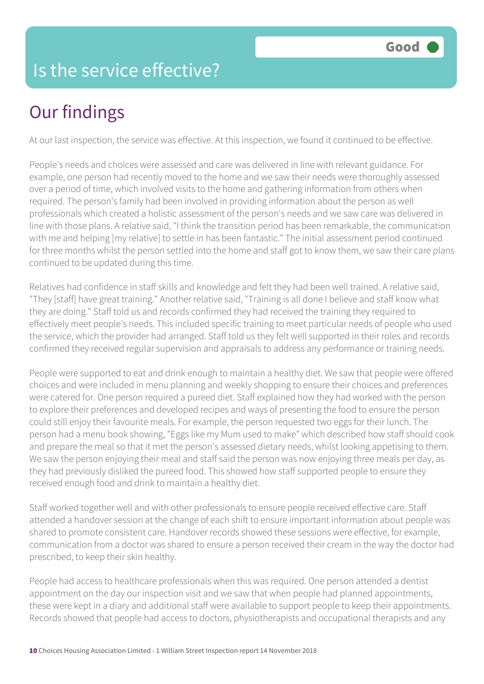### Is the service effective?

## Our findings

At our last inspection, the service was effective. At this inspection, we found it continued to be effective.

People's needs and choices were assessed and care was delivered in line with relevant guidance. For example, one person had recently moved to the home and we saw their needs were thoroughly assessed over a period of time, which involved visits to the home and gathering information from others when required. The person's family had been involved in providing information about the person as well professionals which created a holistic assessment of the person's needs and we saw care was delivered in line with those plans. A relative said, "I think the transition period has been remarkable, the communication with me and helping [my relative] to settle in has been fantastic." The initial assessment period continued for three months whilst the person settled into the home and staff got to know them, we saw their care plans continued to be updated during this time.

Relatives had confidence in staff skills and knowledge and felt they had been well trained. A relative said, "They [staff] have great training." Another relative said, "Training is all done I believe and staff know what they are doing." Staff told us and records confirmed they had received the training they required to effectively meet people's needs. This included specific training to meet particular needs of people who used the service, which the provider had arranged. Staff told us they felt well supported in their roles and records confirmed they received regular supervision and appraisals to address any performance or training needs.

People were supported to eat and drink enough to maintain a healthy diet. We saw that people were offered choices and were included in menu planning and weekly shopping to ensure their choices and preferences were catered for. One person required a pureed diet. Staff explained how they had worked with the person to explore their preferences and developed recipes and ways of presenting the food to ensure the person could still enjoy their favourite meals. For example, the person requested two eggs for their lunch. The person had a menu book showing, "Eggs like my Mum used to make" which described how staff should cook and prepare the meal so that it met the person's assessed dietary needs, whilst looking appetising to them. We saw the person enjoying their meal and staff said the person was now enjoying three meals per day, as they had previously disliked the pureed food. This showed how staff supported people to ensure they received enough food and drink to maintain a healthy diet.

Staff worked together well and with other professionals to ensure people received effective care. Staff attended a handover session at the change of each shift to ensure important information about people was shared to promote consistent care. Handover records showed these sessions were effective, for example, communication from a doctor was shared to ensure a person received their cream in the way the doctor had prescribed, to keep their skin healthy.

People had access to healthcare professionals when this was required. One person attended a dentist appointment on the day our inspection visit and we saw that when people had planned appointments, these were kept in a diary and additional staff were available to support people to keep their appointments. Records showed that people had access to doctors, physiotherapists and occupational therapists and any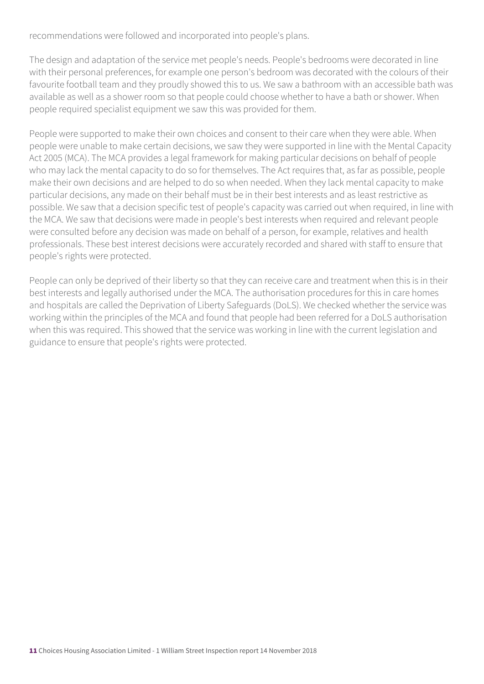recommendations were followed and incorporated into people's plans.

The design and adaptation of the service met people's needs. People's bedrooms were decorated in line with their personal preferences, for example one person's bedroom was decorated with the colours of their favourite football team and they proudly showed this to us. We saw a bathroom with an accessible bath was available as well as a shower room so that people could choose whether to have a bath or shower. When people required specialist equipment we saw this was provided for them.

People were supported to make their own choices and consent to their care when they were able. When people were unable to make certain decisions, we saw they were supported in line with the Mental Capacity Act 2005 (MCA). The MCA provides a legal framework for making particular decisions on behalf of people who may lack the mental capacity to do so for themselves. The Act requires that, as far as possible, people make their own decisions and are helped to do so when needed. When they lack mental capacity to make particular decisions, any made on their behalf must be in their best interests and as least restrictive as possible. We saw that a decision specific test of people's capacity was carried out when required, in line with the MCA. We saw that decisions were made in people's best interests when required and relevant people were consulted before any decision was made on behalf of a person, for example, relatives and health professionals. These best interest decisions were accurately recorded and shared with staff to ensure that people's rights were protected.

People can only be deprived of their liberty so that they can receive care and treatment when this is in their best interests and legally authorised under the MCA. The authorisation procedures for this in care homes and hospitals are called the Deprivation of Liberty Safeguards (DoLS). We checked whether the service was working within the principles of the MCA and found that people had been referred for a DoLS authorisation when this was required. This showed that the service was working in line with the current legislation and guidance to ensure that people's rights were protected.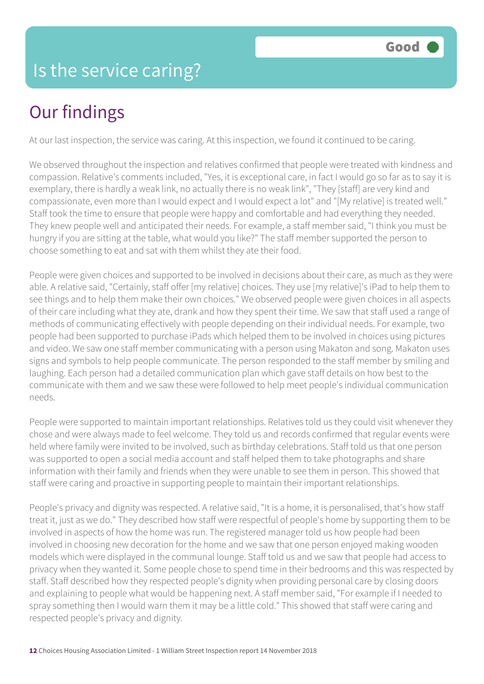#### Is the service caring?

### Our findings

At our last inspection, the service was caring. At this inspection, we found it continued to be caring.

We observed throughout the inspection and relatives confirmed that people were treated with kindness and compassion. Relative's comments included, "Yes, it is exceptional care, in fact I would go so far as to say it is exemplary, there is hardly a weak link, no actually there is no weak link", "They [staff] are very kind and compassionate, even more than I would expect and I would expect a lot" and "[My relative] is treated well." Staff took the time to ensure that people were happy and comfortable and had everything they needed. They knew people well and anticipated their needs. For example, a staff member said, "I think you must be hungry if you are sitting at the table, what would you like?" The staff member supported the person to choose something to eat and sat with them whilst they ate their food.

People were given choices and supported to be involved in decisions about their care, as much as they were able. A relative said, "Certainly, staff offer [my relative] choices. They use [my relative]'s iPad to help them to see things and to help them make their own choices." We observed people were given choices in all aspects of their care including what they ate, drank and how they spent their time. We saw that staff used a range of methods of communicating effectively with people depending on their individual needs. For example, two people had been supported to purchase iPads which helped them to be involved in choices using pictures and video. We saw one staff member communicating with a person using Makaton and song. Makaton uses signs and symbols to help people communicate. The person responded to the staff member by smiling and laughing. Each person had a detailed communication plan which gave staff details on how best to the communicate with them and we saw these were followed to help meet people's individual communication needs.

People were supported to maintain important relationships. Relatives told us they could visit whenever they chose and were always made to feel welcome. They told us and records confirmed that regular events were held where family were invited to be involved, such as birthday celebrations. Staff told us that one person was supported to open a social media account and staff helped them to take photographs and share information with their family and friends when they were unable to see them in person. This showed that staff were caring and proactive in supporting people to maintain their important relationships.

People's privacy and dignity was respected. A relative said, "It is a home, it is personalised, that's how staff treat it, just as we do." They described how staff were respectful of people's home by supporting them to be involved in aspects of how the home was run. The registered manager told us how people had been involved in choosing new decoration for the home and we saw that one person enjoyed making wooden models which were displayed in the communal lounge. Staff told us and we saw that people had access to privacy when they wanted it. Some people chose to spend time in their bedrooms and this was respected by staff. Staff described how they respected people's dignity when providing personal care by closing doors and explaining to people what would be happening next. A staff member said, "For example if I needed to spray something then I would warn them it may be a little cold." This showed that staff were caring and respected people's privacy and dignity.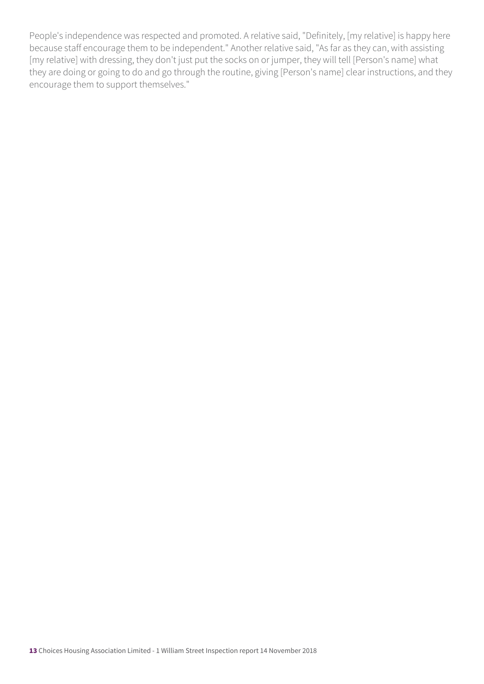People's independence was respected and promoted. A relative said, "Definitely, [my relative] is happy here because staff encourage them to be independent." Another relative said, "As far as they can, with assisting [my relative] with dressing, they don't just put the socks on or jumper, they will tell [Person's name] what they are doing or going to do and go through the routine, giving [Person's name] clear instructions, and they encourage them to support themselves."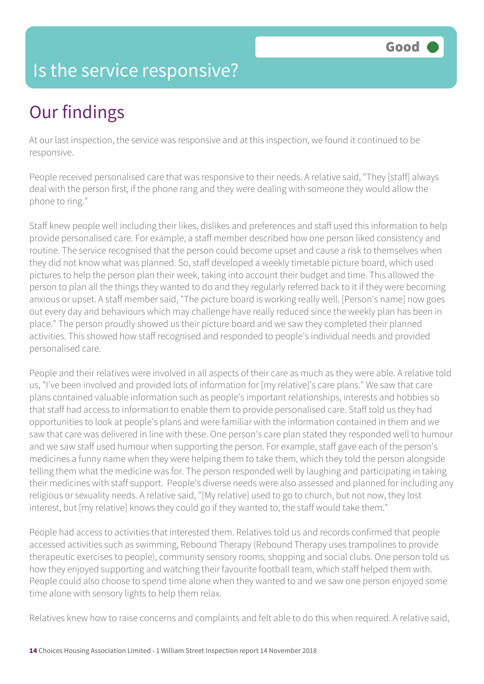#### Is the service responsive?

## Our findings

At our last inspection, the service was responsive and at this inspection, we found it continued to be responsive.

People received personalised care that was responsive to their needs. A relative said, "They [staff] always deal with the person first, if the phone rang and they were dealing with someone they would allow the phone to ring."

Staff knew people well including their likes, dislikes and preferences and staff used this information to help provide personalised care. For example, a staff member described how one person liked consistency and routine. The service recognised that the person could become upset and cause a risk to themselves when they did not know what was planned. So, staff developed a weekly timetable picture board, which used pictures to help the person plan their week, taking into account their budget and time. This allowed the person to plan all the things they wanted to do and they regularly referred back to it if they were becoming anxious or upset. A staff member said, "The picture board is working really well. [Person's name] now goes out every day and behaviours which may challenge have really reduced since the weekly plan has been in place." The person proudly showed us their picture board and we saw they completed their planned activities. This showed how staff recognised and responded to people's individual needs and provided personalised care.

People and their relatives were involved in all aspects of their care as much as they were able. A relative told us, "I've been involved and provided lots of information for [my relative]'s care plans." We saw that care plans contained valuable information such as people's important relationships, interests and hobbies so that staff had access to information to enable them to provide personalised care. Staff told us they had opportunities to look at people's plans and were familiar with the information contained in them and we saw that care was delivered in line with these. One person's care plan stated they responded well to humour and we saw staff used humour when supporting the person. For example, staff gave each of the person's medicines a funny name when they were helping them to take them, which they told the person alongside telling them what the medicine was for. The person responded well by laughing and participating in taking their medicines with staff support. People's diverse needs were also assessed and planned for including any religious or sexuality needs. A relative said, "[My relative] used to go to church, but not now, they lost interest, but [my relative] knows they could go if they wanted to, the staff would take them."

People had access to activities that interested them. Relatives told us and records confirmed that people accessed activities such as swimming, Rebound Therapy (Rebound Therapy uses trampolines to provide therapeutic exercises to people), community sensory rooms, shopping and social clubs. One person told us how they enjoyed supporting and watching their favourite football team, which staff helped them with. People could also choose to spend time alone when they wanted to and we saw one person enjoyed some time alone with sensory lights to help them relax.

Relatives knew how to raise concerns and complaints and felt able to do this when required. A relative said,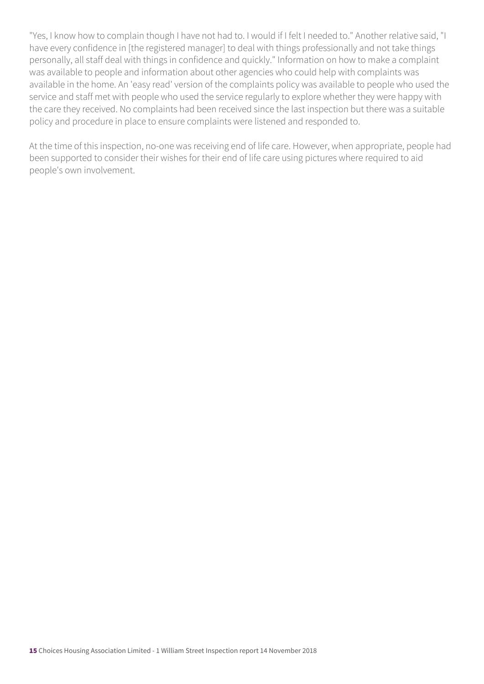"Yes, I know how to complain though I have not had to. I would if I felt I needed to." Another relative said, "I have every confidence in [the registered manager] to deal with things professionally and not take things personally, all staff deal with things in confidence and quickly." Information on how to make a complaint was available to people and information about other agencies who could help with complaints was available in the home. An 'easy read' version of the complaints policy was available to people who used the service and staff met with people who used the service regularly to explore whether they were happy with the care they received. No complaints had been received since the last inspection but there was a suitable policy and procedure in place to ensure complaints were listened and responded to.

At the time of this inspection, no-one was receiving end of life care. However, when appropriate, people had been supported to consider their wishes for their end of life care using pictures where required to aid people's own involvement.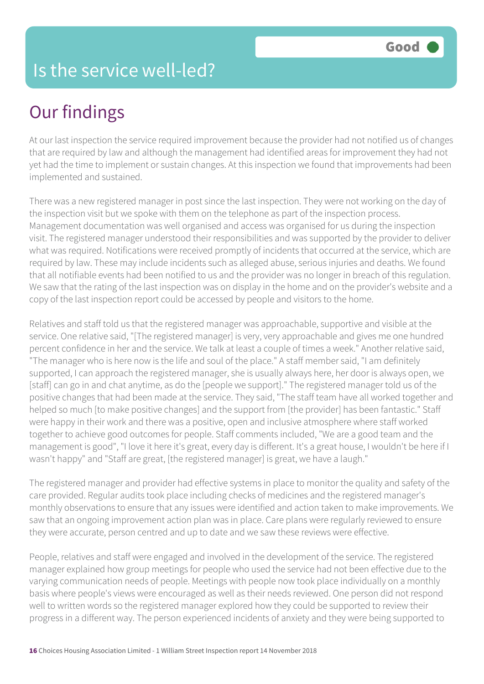#### Is the service well-led?

### Our findings

At our last inspection the service required improvement because the provider had not notified us of changes that are required by law and although the management had identified areas for improvement they had not yet had the time to implement or sustain changes. At this inspection we found that improvements had been implemented and sustained.

There was a new registered manager in post since the last inspection. They were not working on the day of the inspection visit but we spoke with them on the telephone as part of the inspection process. Management documentation was well organised and access was organised for us during the inspection visit. The registered manager understood their responsibilities and was supported by the provider to deliver what was required. Notifications were received promptly of incidents that occurred at the service, which are required by law. These may include incidents such as alleged abuse, serious injuries and deaths. We found that all notifiable events had been notified to us and the provider was no longer in breach of this regulation. We saw that the rating of the last inspection was on display in the home and on the provider's website and a copy of the last inspection report could be accessed by people and visitors to the home.

Relatives and staff told us that the registered manager was approachable, supportive and visible at the service. One relative said, "[The registered manager] is very, very approachable and gives me one hundred percent confidence in her and the service. We talk at least a couple of times a week." Another relative said, "The manager who is here now is the life and soul of the place." A staff member said, "I am definitely supported, I can approach the registered manager, she is usually always here, her door is always open, we [staff] can go in and chat anytime, as do the [people we support]." The registered manager told us of the positive changes that had been made at the service. They said, "The staff team have all worked together and helped so much [to make positive changes] and the support from [the provider] has been fantastic." Staff were happy in their work and there was a positive, open and inclusive atmosphere where staff worked together to achieve good outcomes for people. Staff comments included, "We are a good team and the management is good", "I love it here it's great, every day is different. It's a great house, I wouldn't be here if I wasn't happy" and "Staff are great, [the registered manager] is great, we have a laugh."

The registered manager and provider had effective systems in place to monitor the quality and safety of the care provided. Regular audits took place including checks of medicines and the registered manager's monthly observations to ensure that any issues were identified and action taken to make improvements. We saw that an ongoing improvement action plan was in place. Care plans were regularly reviewed to ensure they were accurate, person centred and up to date and we saw these reviews were effective.

People, relatives and staff were engaged and involved in the development of the service. The registered manager explained how group meetings for people who used the service had not been effective due to the varying communication needs of people. Meetings with people now took place individually on a monthly basis where people's views were encouraged as well as their needs reviewed. One person did not respond well to written words so the registered manager explored how they could be supported to review their progress in a different way. The person experienced incidents of anxiety and they were being supported to